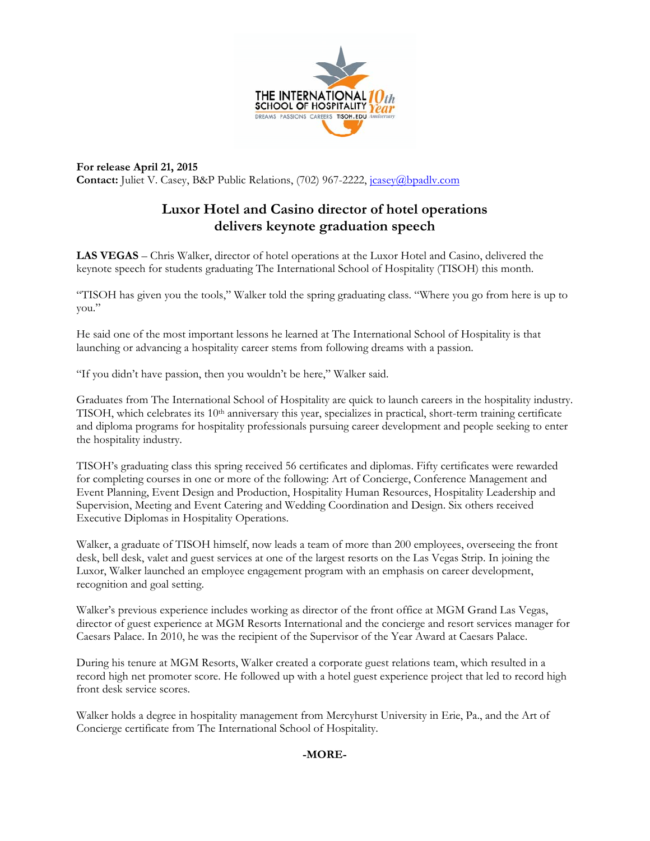

**For release April 21, 2015**  Contact: Juliet V. Casey, B&P Public Relations, (702) 967-2222, *jcasey@bpadlv.com* 

## **Luxor Hotel and Casino director of hotel operations delivers keynote graduation speech**

**LAS VEGAS** – Chris Walker, director of hotel operations at the Luxor Hotel and Casino, delivered the keynote speech for students graduating The International School of Hospitality (TISOH) this month.

"TISOH has given you the tools," Walker told the spring graduating class. "Where you go from here is up to you."

He said one of the most important lessons he learned at The International School of Hospitality is that launching or advancing a hospitality career stems from following dreams with a passion.

"If you didn't have passion, then you wouldn't be here," Walker said.

Graduates from The International School of Hospitality are quick to launch careers in the hospitality industry. TISOH, which celebrates its  $10<sup>th</sup>$  anniversary this year, specializes in practical, short-term training certificate and diploma programs for hospitality professionals pursuing career development and people seeking to enter the hospitality industry.

TISOH's graduating class this spring received 56 certificates and diplomas. Fifty certificates were rewarded for completing courses in one or more of the following: Art of Concierge, Conference Management and Event Planning, Event Design and Production, Hospitality Human Resources, Hospitality Leadership and Supervision, Meeting and Event Catering and Wedding Coordination and Design. Six others received Executive Diplomas in Hospitality Operations.

Walker, a graduate of TISOH himself, now leads a team of more than 200 employees, overseeing the front desk, bell desk, valet and guest services at one of the largest resorts on the Las Vegas Strip. In joining the Luxor, Walker launched an employee engagement program with an emphasis on career development, recognition and goal setting.

Walker's previous experience includes working as director of the front office at MGM Grand Las Vegas, director of guest experience at MGM Resorts International and the concierge and resort services manager for Caesars Palace. In 2010, he was the recipient of the Supervisor of the Year Award at Caesars Palace.

During his tenure at MGM Resorts, Walker created a corporate guest relations team, which resulted in a record high net promoter score. He followed up with a hotel guest experience project that led to record high front desk service scores.

Walker holds a degree in hospitality management from Mercyhurst University in Erie, Pa., and the Art of Concierge certificate from The International School of Hospitality.

## **-MORE-**